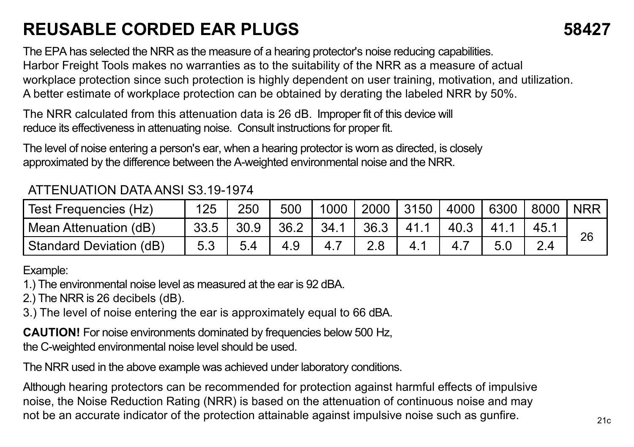## **REUSABLE CORDED EAR PLUGS 58427**

The EPA has selected the NRR as the measure of a hearing protector's noise reducing capabilities. Harbor Freight Tools makes no warranties as to the suitability of the NRR as a measure of actual workplace protection since such protection is highly dependent on user training, motivation, and utilization. A better estimate of workplace protection can be obtained by derating the labeled NRR by 50%.

The NRR calculated from this attenuation data is 26 dB. Improper fit of this device will reduce its effectiveness in attenuating noise. Consult instructions for proper fit.

The level of noise entering a person's ear, when a hearing protector is worn as directed, is closely approximated by the difference between the A-weighted environmental noise and the NRR.

## ATTENUATION DATA ANSI S3.19-1974

| l Test Freauencies (Hz)   | 125  | 250  | 500  |      | 1000 2000 | 3150 | 4000 6300 | 8000      | NRR <sup>'</sup> |
|---------------------------|------|------|------|------|-----------|------|-----------|-----------|------------------|
| Mean Attenuation (dB)     | 33.5 | 30.9 | 36.2 | 34.1 | 36.3      |      |           |           | 26               |
| l Standard Deviation (dB) |      |      | 4.9  |      |           |      |           | $2\Delta$ |                  |

Example:

1.) The environmental noise level as measured at the ear is 92 dBA.

2.) The NRR is 26 decibels (dB).

3.) The level of noise entering the ear is approximately equal to 66 dBA.

**CAUTION!** For noise environments dominated by frequencies below 500 Hz, the C-weighted environmental noise level should be used.

The NRR used in the above example was achieved under laboratory conditions.

Although hearing protectors can be recommended for protection against harmful effects of impulsive noise, the Noise Reduction Rating (NRR) is based on the attenuation of continuous noise and may not be an accurate indicator of the protection attainable against impulsive noise such as gunfire.